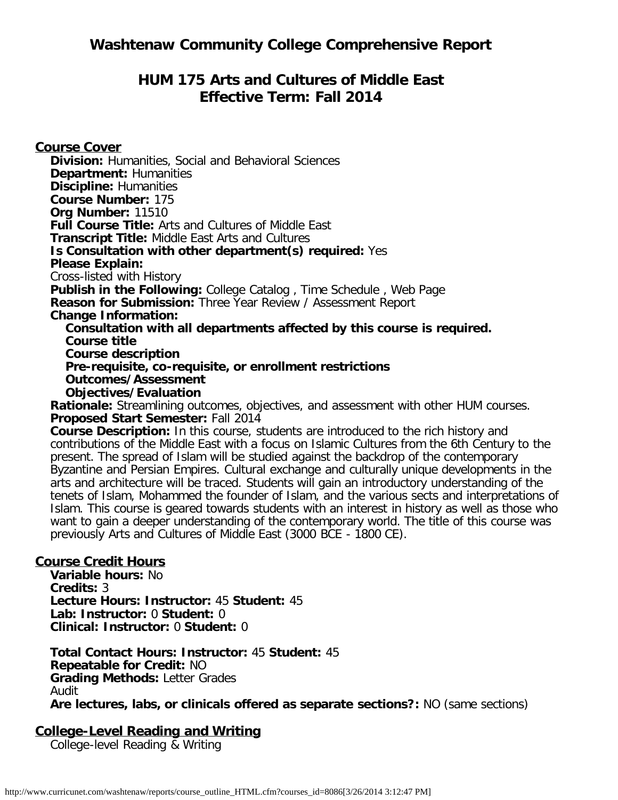# **HUM 175 Arts and Cultures of Middle East Effective Term: Fall 2014**

**Course Cover**

**Division:** Humanities, Social and Behavioral Sciences **Department:** Humanities **Discipline:** Humanities **Course Number:** 175 **Org Number:** 11510 **Full Course Title:** Arts and Cultures of Middle East **Transcript Title:** Middle East Arts and Cultures **Is Consultation with other department(s) required:** Yes **Please Explain:** Cross-listed with History **Publish in the Following:** College Catalog , Time Schedule , Web Page **Reason for Submission:** Three Year Review / Assessment Report **Change Information: Consultation with all departments affected by this course is required. Course title Course description Pre-requisite, co-requisite, or enrollment restrictions Outcomes/Assessment Objectives/Evaluation Rationale:** Streamlining outcomes, objectives, and assessment with other HUM courses. **Proposed Start Semester:** Fall 2014 **Course Description:** In this course, students are introduced to the rich history and contributions of the Middle East with a focus on Islamic Cultures from the 6th Century to the present. The spread of Islam will be studied against the backdrop of the contemporary Byzantine and Persian Empires. Cultural exchange and culturally unique developments in the arts and architecture will be traced. Students will gain an introductory understanding of the

tenets of Islam, Mohammed the founder of Islam, and the various sects and interpretations of Islam. This course is geared towards students with an interest in history as well as those who want to gain a deeper understanding of the contemporary world. The title of this course was previously Arts and Cultures of Middle East (3000 BCE - 1800 CE).

### **Course Credit Hours**

**Variable hours:** No **Credits:** 3 **Lecture Hours: Instructor:** 45 **Student:** 45 **Lab: Instructor:** 0 **Student:** 0 **Clinical: Instructor:** 0 **Student:** 0

**Total Contact Hours: Instructor:** 45 **Student:** 45 **Repeatable for Credit:** NO **Grading Methods:** Letter Grades Audit **Are lectures, labs, or clinicals offered as separate sections?:** NO (same sections)

## **College-Level Reading and Writing**

College-level Reading & Writing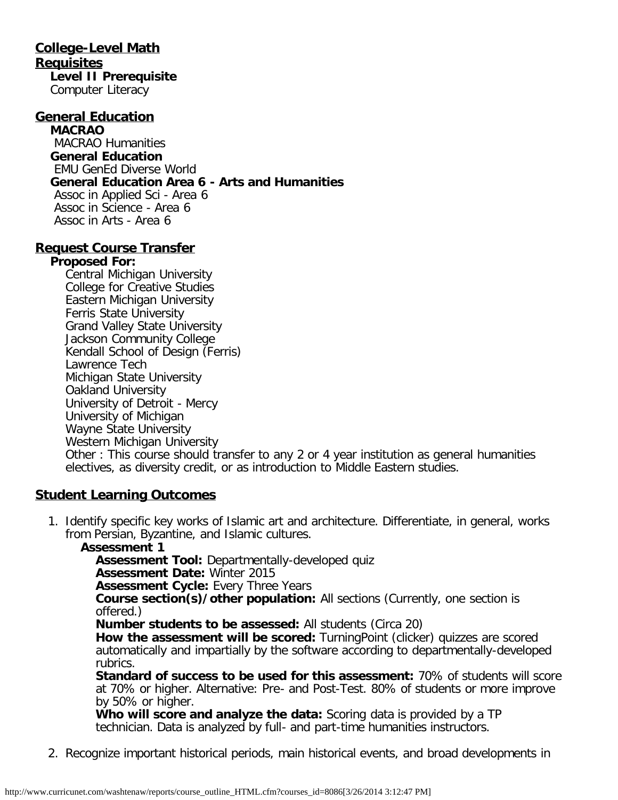#### **College-Level Math Requisites Level II Prerequisite**

Computer Literacy

#### **General Education**

**MACRAO** MACRAO Humanities **General Education** EMU GenEd Diverse World **General Education Area 6 - Arts and Humanities** Assoc in Applied Sci - Area 6 Assoc in Science - Area 6 Assoc in Arts - Area 6

#### **Request Course Transfer**

#### **Proposed For:**

Central Michigan University College for Creative Studies Eastern Michigan University Ferris State University Grand Valley State University Jackson Community College Kendall School of Design (Ferris) Lawrence Tech Michigan State University Oakland University University of Detroit - Mercy University of Michigan Wayne State University Western Michigan University Other : This course should transfer to any 2 or 4 year institution as general humanities electives, as diversity credit, or as introduction to Middle Eastern studies.

#### **Student Learning Outcomes**

1. Identify specific key works of Islamic art and architecture. Differentiate, in general, works from Persian, Byzantine, and Islamic cultures.

#### **Assessment 1**

**Assessment Tool:** Departmentally-developed quiz

**Assessment Date:** Winter 2015

**Assessment Cycle: Every Three Years** 

**Course section(s)/other population:** All sections (Currently, one section is offered.)

**Number students to be assessed:** All students (Circa 20)

**How the assessment will be scored:** TurningPoint (clicker) quizzes are scored automatically and impartially by the software according to departmentally-developed rubrics.

**Standard of success to be used for this assessment:** 70% of students will score at 70% or higher. Alternative: Pre- and Post-Test. 80% of students or more improve by 50% or higher.

**Who will score and analyze the data:** Scoring data is provided by a TP technician. Data is analyzed by full- and part-time humanities instructors.

2. Recognize important historical periods, main historical events, and broad developments in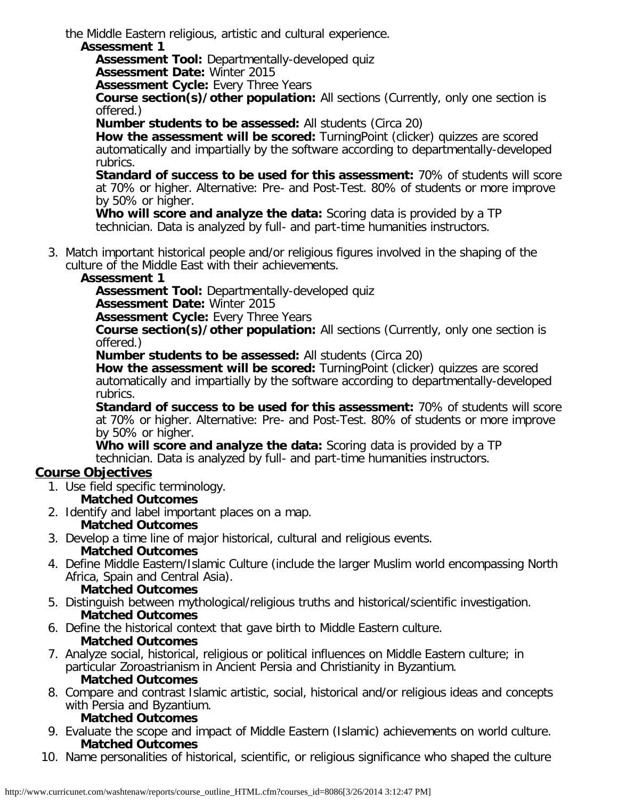the Middle Eastern religious, artistic and cultural experience.

#### **Assessment 1**

**Assessment Tool:** Departmentally-developed quiz

**Assessment Date:** Winter 2015

**Assessment Cycle:** Every Three Years

**Course section(s)/other population:** All sections (Currently, only one section is offered.)

**Number students to be assessed:** All students (Circa 20)

**How the assessment will be scored:** TurningPoint (clicker) quizzes are scored automatically and impartially by the software according to departmentally-developed rubrics.

**Standard of success to be used for this assessment:** 70% of students will score at 70% or higher. Alternative: Pre- and Post-Test. 80% of students or more improve by 50% or higher.

**Who will score and analyze the data:** Scoring data is provided by a TP technician. Data is analyzed by full- and part-time humanities instructors.

3. Match important historical people and/or religious figures involved in the shaping of the culture of the Middle East with their achievements.

### **Assessment 1**

**Assessment Tool:** Departmentally-developed quiz

**Assessment Date:** Winter 2015

**Assessment Cycle: Every Three Years** 

**Course section(s)/other population:** All sections (Currently, only one section is offered.)

**Number students to be assessed:** All students (Circa 20)

**How the assessment will be scored:** TurningPoint (clicker) quizzes are scored automatically and impartially by the software according to departmentally-developed rubrics.

**Standard of success to be used for this assessment:** 70% of students will score at 70% or higher. Alternative: Pre- and Post-Test. 80% of students or more improve by 50% or higher.

**Who will score and analyze the data:** Scoring data is provided by a TP technician. Data is analyzed by full- and part-time humanities instructors.

## **Course Objectives**

1. Use field specific terminology.

### **Matched Outcomes**

- 2. Identify and label important places on a map. **Matched Outcomes**
- 3. Develop a time line of major historical, cultural and religious events. **Matched Outcomes**
- 4. Define Middle Eastern/Islamic Culture (include the larger Muslim world encompassing North Africa, Spain and Central Asia).
	- **Matched Outcomes**
- 5. Distinguish between mythological/religious truths and historical/scientific investigation. **Matched Outcomes**
- 6. Define the historical context that gave birth to Middle Eastern culture. **Matched Outcomes**
- 7. Analyze social, historical, religious or political influences on Middle Eastern culture; in particular Zoroastrianism in Ancient Persia and Christianity in Byzantium. **Matched Outcomes**
- 8. Compare and contrast Islamic artistic, social, historical and/or religious ideas and concepts with Persia and Byzantium.

### **Matched Outcomes**

- 9. Evaluate the scope and impact of Middle Eastern (Islamic) achievements on world culture. **Matched Outcomes**
- 10. Name personalities of historical, scientific, or religious significance who shaped the culture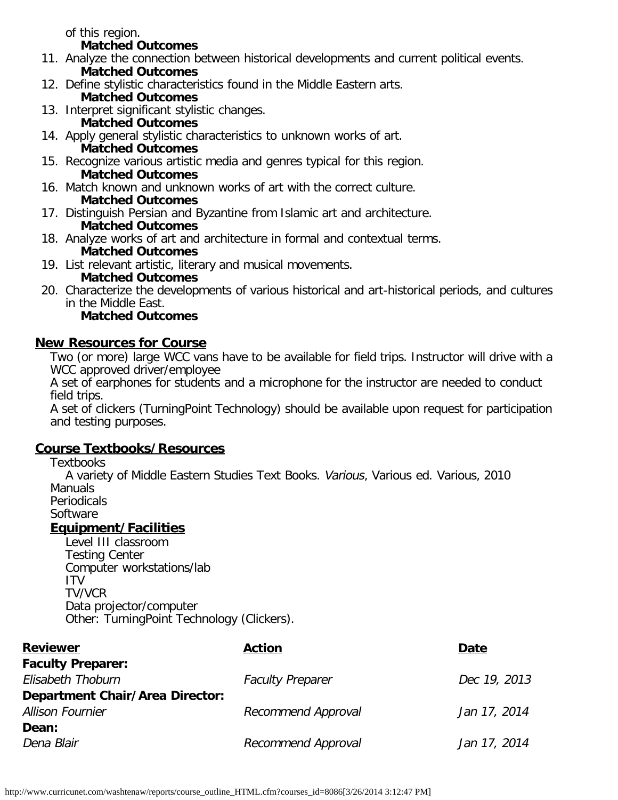of this region.

#### **Matched Outcomes**

- 11. Analyze the connection between historical developments and current political events. **Matched Outcomes**
- 12. Define stylistic characteristics found in the Middle Eastern arts.
	- **Matched Outcomes**
- 13. Interpret significant stylistic changes. **Matched Outcomes**
- 14. Apply general stylistic characteristics to unknown works of art. **Matched Outcomes**
- 15. Recognize various artistic media and genres typical for this region. **Matched Outcomes**
- 16. Match known and unknown works of art with the correct culture. **Matched Outcomes**
- 17. Distinguish Persian and Byzantine from Islamic art and architecture. **Matched Outcomes**
- 18. Analyze works of art and architecture in formal and contextual terms. **Matched Outcomes**
- 19. List relevant artistic, literary and musical movements.
	- **Matched Outcomes**
- 20. Characterize the developments of various historical and art-historical periods, and cultures in the Middle East.

## **Matched Outcomes**

## **New Resources for Course**

Two (or more) large WCC vans have to be available for field trips. Instructor will drive with a WCC approved driver/employee

A set of earphones for students and a microphone for the instructor are needed to conduct field trips.

A set of clickers (TurningPoint Technology) should be available upon request for participation and testing purposes.

## **Course Textbooks/Resources**

**Textbooks** 

A variety of Middle Eastern Studies Text Books. Various, Various ed. Various, 2010 Manuals

Periodicals

Software

## **Equipment/Facilities**

Level III classroom Testing Center Computer workstations/lab ITV TV/VCR Data projector/computer Other: TurningPoint Technology (Clickers).

| <b>Reviewer</b>                        | <b>Action</b>           | Date         |
|----------------------------------------|-------------------------|--------------|
| <b>Faculty Preparer:</b>               |                         |              |
| Elisabeth Thoburn                      | <b>Faculty Preparer</b> | Dec 19, 2013 |
| <b>Department Chair/Area Director:</b> |                         |              |
| <b>Allison Fournier</b>                | Recommend Approval      | Jan 17, 2014 |
| Dean:                                  |                         |              |
| Dena Blair                             | Recommend Approval      | Jan 17, 2014 |